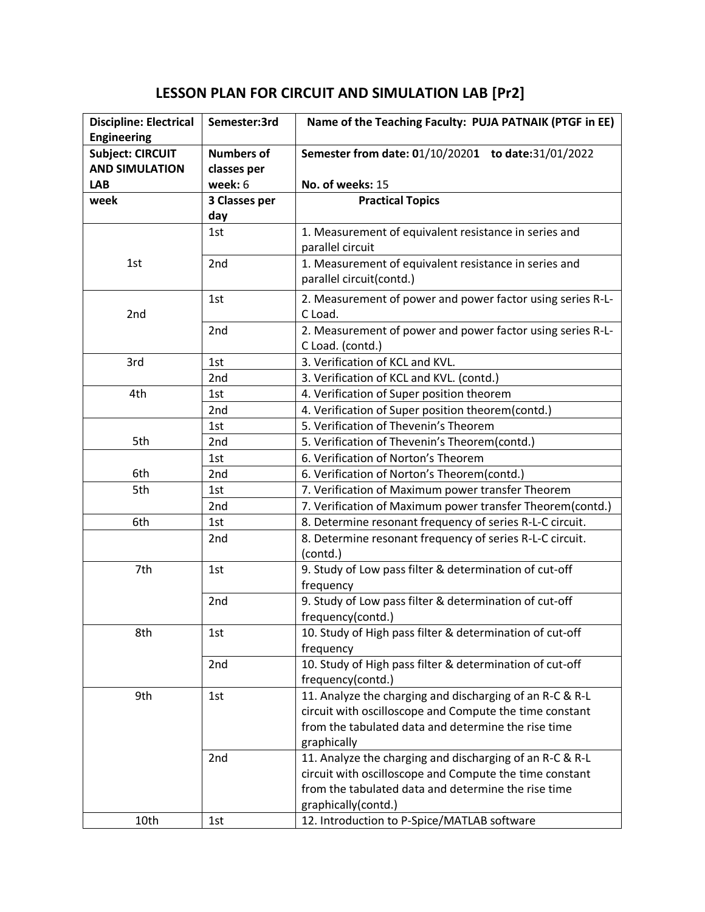## **LESSON PLAN FOR CIRCUIT AND SIMULATION LAB [Pr2]**

| <b>Discipline: Electrical</b><br><b>Engineering</b> | Semester:3rd      | Name of the Teaching Faculty: PUJA PATNAIK (PTGF in EE)    |
|-----------------------------------------------------|-------------------|------------------------------------------------------------|
| <b>Subject: CIRCUIT</b>                             | <b>Numbers of</b> | Semester from date: 01/10/20201 to date:31/01/2022         |
| <b>AND SIMULATION</b>                               | classes per       |                                                            |
| <b>LAB</b>                                          | week: 6           | No. of weeks: 15                                           |
| week                                                | 3 Classes per     | <b>Practical Topics</b>                                    |
|                                                     | day               |                                                            |
|                                                     | 1st               | 1. Measurement of equivalent resistance in series and      |
|                                                     |                   | parallel circuit                                           |
| 1st                                                 | 2 <sub>nd</sub>   | 1. Measurement of equivalent resistance in series and      |
|                                                     |                   | parallel circuit(contd.)                                   |
|                                                     | 1st               | 2. Measurement of power and power factor using series R-L- |
| 2nd                                                 |                   | C Load.                                                    |
|                                                     | 2 <sub>nd</sub>   | 2. Measurement of power and power factor using series R-L- |
|                                                     |                   | C Load. (contd.)                                           |
| 3rd                                                 | 1st               | 3. Verification of KCL and KVL.                            |
|                                                     | 2nd               | 3. Verification of KCL and KVL. (contd.)                   |
| 4th                                                 | 1st               | 4. Verification of Super position theorem                  |
|                                                     | 2nd               | 4. Verification of Super position theorem(contd.)          |
|                                                     | 1st               | 5. Verification of Thevenin's Theorem                      |
| 5th                                                 | 2nd               | 5. Verification of Thevenin's Theorem(contd.)              |
|                                                     | 1st               | 6. Verification of Norton's Theorem                        |
| 6th                                                 | 2nd               | 6. Verification of Norton's Theorem(contd.)                |
| 5th                                                 | 1st               | 7. Verification of Maximum power transfer Theorem          |
|                                                     | 2nd               | 7. Verification of Maximum power transfer Theorem(contd.)  |
| 6th                                                 | 1st               | 8. Determine resonant frequency of series R-L-C circuit.   |
|                                                     | 2 <sub>nd</sub>   | 8. Determine resonant frequency of series R-L-C circuit.   |
|                                                     |                   | (contd.)                                                   |
| 7th                                                 | 1st               | 9. Study of Low pass filter & determination of cut-off     |
|                                                     |                   | frequency                                                  |
|                                                     | 2nd               | 9. Study of Low pass filter & determination of cut-off     |
|                                                     |                   | frequency(contd.)                                          |
| 8th                                                 | 1st               | 10. Study of High pass filter & determination of cut-off   |
|                                                     |                   | frequency                                                  |
|                                                     | 2nd               | 10. Study of High pass filter & determination of cut-off   |
|                                                     |                   | frequency(contd.)                                          |
| 9th                                                 | 1st               | 11. Analyze the charging and discharging of an R-C & R-L   |
|                                                     |                   | circuit with oscilloscope and Compute the time constant    |
|                                                     |                   | from the tabulated data and determine the rise time        |
|                                                     |                   | graphically                                                |
|                                                     | 2nd               | 11. Analyze the charging and discharging of an R-C & R-L   |
|                                                     |                   | circuit with oscilloscope and Compute the time constant    |
|                                                     |                   | from the tabulated data and determine the rise time        |
|                                                     |                   | graphically(contd.)                                        |
| 10th                                                | 1st               | 12. Introduction to P-Spice/MATLAB software                |